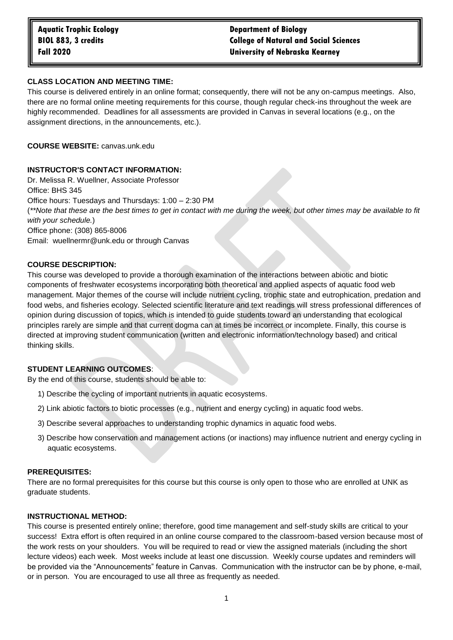# **Aquatic Trophic Ecology Department of Biology BIOL 883, 3 credits College of Natural and Social Sciences Fall 2020 University of Nebraska Kearney**

### **CLASS LOCATION AND MEETING TIME:**

This course is delivered entirely in an online format; consequently, there will not be any on-campus meetings. Also, there are no formal online meeting requirements for this course, though regular check-ins throughout the week are highly recommended. Deadlines for all assessments are provided in Canvas in several locations (e.g., on the assignment directions, in the announcements, etc.).

**COURSE WEBSITE:** canvas.unk.edu

#### **INSTRUCTOR'S CONTACT INFORMATION:**

Dr. Melissa R. Wuellner, Associate Professor Office: BHS 345 Office hours: Tuesdays and Thursdays: 1:00 – 2:30 PM (*\*\*Note that these are the best times to get in contact with me during the week, but other times may be available to fit with your schedule.*) Office phone: (308) 865-8006 Email: wuellnermr@unk.edu or through Canvas

#### **COURSE DESCRIPTION:**

This course was developed to provide a thorough examination of the interactions between abiotic and biotic components of freshwater ecosystems incorporating both theoretical and applied aspects of aquatic food web management. Major themes of the course will include nutrient cycling, trophic state and eutrophication, predation and food webs, and fisheries ecology. Selected scientific literature and text readings will stress professional differences of opinion during discussion of topics, which is intended to guide students toward an understanding that ecological principles rarely are simple and that current dogma can at times be incorrect or incomplete. Finally, this course is directed at improving student communication (written and electronic information/technology based) and critical thinking skills.

### **STUDENT LEARNING OUTCOMES**:

By the end of this course, students should be able to:

- 1) Describe the cycling of important nutrients in aquatic ecosystems.
- 2) Link abiotic factors to biotic processes (e.g., nutrient and energy cycling) in aquatic food webs.
- 3) Describe several approaches to understanding trophic dynamics in aquatic food webs.
- 3) Describe how conservation and management actions (or inactions) may influence nutrient and energy cycling in aquatic ecosystems.

#### **PREREQUISITES:**

There are no formal prerequisites for this course but this course is only open to those who are enrolled at UNK as graduate students.

#### **INSTRUCTIONAL METHOD:**

This course is presented entirely online; therefore, good time management and self-study skills are critical to your success! Extra effort is often required in an online course compared to the classroom-based version because most of the work rests on your shoulders. You will be required to read or view the assigned materials (including the short lecture videos) each week. Most weeks include at least one discussion. Weekly course updates and reminders will be provided via the "Announcements" feature in Canvas. Communication with the instructor can be by phone, e-mail, or in person. You are encouraged to use all three as frequently as needed.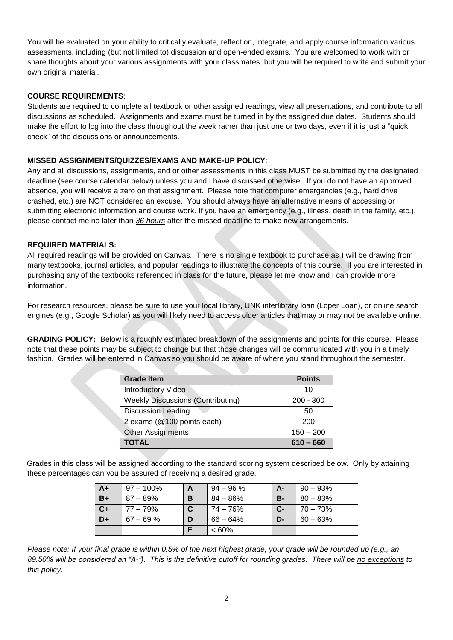You will be evaluated on your ability to critically evaluate, reflect on, integrate, and apply course information various assessments, including (but not limited to) discussion and open-ended exams. You are welcomed to work with or share thoughts about your various assignments with your classmates, but you will be required to write and submit your own original material.

## **COURSE REQUIREMENTS**:

Students are required to complete all textbook or other assigned readings, view all presentations, and contribute to all discussions as scheduled. Assignments and exams must be turned in by the assigned due dates. Students should make the effort to log into the class throughout the week rather than just one or two days, even if it is just a "quick check" of the discussions or announcements.

# **MISSED ASSIGNMENTS/QUIZZES/EXAMS AND MAKE-UP POLICY**:

Any and all discussions, assignments, and or other assessments in this class MUST be submitted by the designated deadline (see course calendar below) unless you and I have discussed otherwise. If you do not have an approved absence, you will receive a zero on that assignment. Please note that computer emergencies (e.g., hard drive crashed, etc.) are NOT considered an excuse. You should always have an alternative means of accessing or submitting electronic information and course work. If you have an emergency (e.g., illness, death in the family, etc.), please contact me no later than *36 hours* after the missed deadline to make new arrangements.

### **REQUIRED MATERIALS:**

All required readings will be provided on Canvas. There is no single textbook to purchase as I will be drawing from many textbooks, journal articles, and popular readings to illustrate the concepts of this course. If you are interested in purchasing any of the textbooks referenced in class for the future, please let me know and I can provide more information.

For research resources, please be sure to use your local library, UNK interlibrary loan (Loper Loan), or online search engines (e.g., Google Scholar) as you will likely need to access older articles that may or may not be available online.

**GRADING POLICY:** Below is a roughly estimated breakdown of the assignments and points for this course. Please note that these points may be subject to change but that those changes will be communicated with you in a timely fashion. Grades will be entered in Canvas so you should be aware of where you stand throughout the semester.

| <b>Grade Item</b>                        | <b>Points</b> |
|------------------------------------------|---------------|
| <b>Introductory Video</b>                | 10            |
| <b>Weekly Discussions (Contributing)</b> | $200 - 300$   |
| <b>Discussion Leading</b>                | 50            |
| 2 exams (@100 points each)               | 200           |
| <b>Other Assignments</b>                 | $150 - 200$   |
| <b>TOTAL</b>                             | $610 - 660$   |

Grades in this class will be assigned according to the standard scoring system described below. Only by attaining these percentages can you be assured of receiving a desired grade.

| $A+$ | $97 - 100\%$ |   | $94 - 96 \%$ | А-        | $90 - 93\%$ |
|------|--------------|---|--------------|-----------|-------------|
| $B+$ | 87 – 89%     | в | $84 - 86\%$  | <b>B-</b> | $80 - 83%$  |
| $C+$ | $77 - 79%$   |   | 74 – 76%     | $C-$      | $70 - 73%$  |
| D+   | $67 - 69 \%$ |   | $66 - 64%$   | D-        | $60 - 63%$  |
|      |              |   | $<60\%$      |           |             |

*Please note: If your final grade is within 0.5% of the next highest grade, your grade will be rounded up (e.g., an 89.50% will be considered an "A-"). This is the definitive cutoff for rounding grades. There will be no exceptions to this policy.*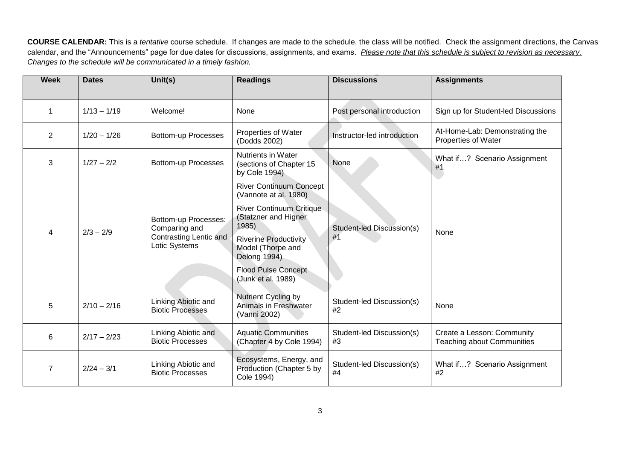**COURSE CALENDAR:** This is a *tentative* course schedule. If changes are made to the schedule, the class will be notified. Check the assignment directions, the Canvas calendar, and the "Announcements" page for due dates for discussions, assignments, and exams. *Please note that this schedule is subject to revision as necessary. Changes to the schedule will be communicated in a timely fashion.*

| <b>Week</b>    | <b>Dates</b>  | Unit(s)                                                                          | <b>Readings</b>                                                                                                                                                     | <b>Discussions</b>              | <b>Assignments</b>                                              |
|----------------|---------------|----------------------------------------------------------------------------------|---------------------------------------------------------------------------------------------------------------------------------------------------------------------|---------------------------------|-----------------------------------------------------------------|
| $\mathbf 1$    | $1/13 - 1/19$ | Welcome!                                                                         | None                                                                                                                                                                | Post personal introduction      | Sign up for Student-led Discussions                             |
| $\overline{2}$ | $1/20 - 1/26$ | <b>Bottom-up Processes</b>                                                       | Properties of Water<br>(Dodds 2002)                                                                                                                                 | Instructor-led introduction     | At-Home-Lab: Demonstrating the<br>Properties of Water           |
| 3              | $1/27 - 2/2$  | <b>Bottom-up Processes</b>                                                       | Nutrients in Water<br>(sections of Chapter 15<br>by Cole 1994)                                                                                                      | None                            | What if? Scenario Assignment<br>#1                              |
|                |               |                                                                                  | <b>River Continuum Concept</b><br>(Vannote at al. 1980)                                                                                                             |                                 |                                                                 |
| 4              | $2/3 - 2/9$   | Bottom-up Processes:<br>Comparing and<br>Contrasting Lentic and<br>Lotic Systems | <b>River Continuum Critique</b><br>(Statzner and Higner<br>1985)<br><b>Riverine Productivity</b><br>Model (Thorpe and<br>Delong 1994)<br><b>Flood Pulse Concept</b> | Student-led Discussion(s)<br>#1 | None                                                            |
|                |               |                                                                                  | (Junk et al. 1989)                                                                                                                                                  |                                 |                                                                 |
| 5              | $2/10 - 2/16$ | Linking Abiotic and<br><b>Biotic Processes</b>                                   | Nutrient Cycling by<br>Animals in Freshwater<br>(Vanni 2002)                                                                                                        | Student-led Discussion(s)<br>#2 | None                                                            |
| 6              | $2/17 - 2/23$ | Linking Abiotic and<br><b>Biotic Processes</b>                                   | <b>Aquatic Communities</b><br>(Chapter 4 by Cole 1994)                                                                                                              | Student-led Discussion(s)<br>#3 | Create a Lesson: Community<br><b>Teaching about Communities</b> |
| 7              | $2/24 - 3/1$  | Linking Abiotic and<br><b>Biotic Processes</b>                                   | Ecosystems, Energy, and<br>Production (Chapter 5 by<br>Cole 1994)                                                                                                   | Student-led Discussion(s)<br>#4 | What if? Scenario Assignment<br>#2                              |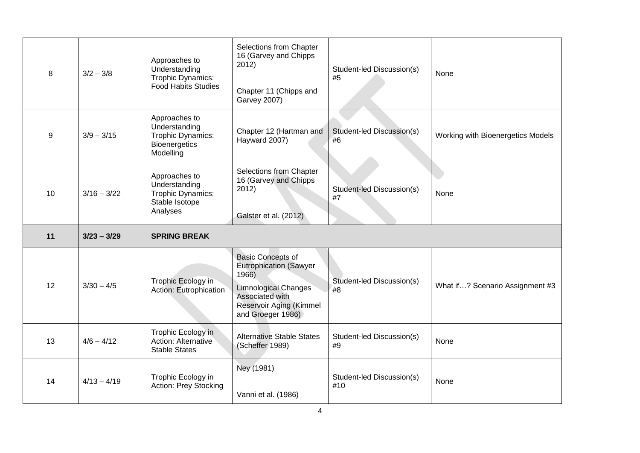| 8  | $3/2 - 3/8$   | Approaches to<br>Understanding<br>Trophic Dynamics:<br><b>Food Habits Studies</b>        | Selections from Chapter<br>16 (Garvey and Chipps<br>2012)<br>Chapter 11 (Chipps and<br><b>Garvey 2007)</b>                                                           | Student-led Discussion(s)<br>#5 | None                              |
|----|---------------|------------------------------------------------------------------------------------------|----------------------------------------------------------------------------------------------------------------------------------------------------------------------|---------------------------------|-----------------------------------|
| 9  | $3/9 - 3/15$  | Approaches to<br>Understanding<br>Trophic Dynamics:<br><b>Bioenergetics</b><br>Modelling | Chapter 12 (Hartman and<br>Hayward 2007)                                                                                                                             | Student-led Discussion(s)<br>#6 | Working with Bioenergetics Models |
| 10 | $3/16 - 3/22$ | Approaches to<br>Understanding<br>Trophic Dynamics:<br>Stable Isotope<br>Analyses        | Selections from Chapter<br>16 (Garvey and Chipps<br>2012)<br>Galster et al. (2012)                                                                                   | Student-led Discussion(s)<br>#7 | None                              |
|    |               |                                                                                          |                                                                                                                                                                      |                                 |                                   |
| 11 | $3/23 - 3/29$ | <b>SPRING BREAK</b>                                                                      |                                                                                                                                                                      |                                 |                                   |
| 12 | $3/30 - 4/5$  | Trophic Ecology in<br>Action: Eutrophication                                             | <b>Basic Concepts of</b><br><b>Eutrophication (Sawyer</b><br>1966)<br><b>Limnological Changes</b><br>Associated with<br>Reservoir Aging (Kimmel<br>and Groeger 1986) | Student-led Discussion(s)<br>#8 | What if? Scenario Assignment #3   |
| 13 | $4/6 - 4/12$  | Trophic Ecology in<br>Action: Alternative<br><b>Stable States</b>                        | <b>Alternative Stable States</b><br>(Scheffer 1989)                                                                                                                  | Student-led Discussion(s)<br>#9 | None                              |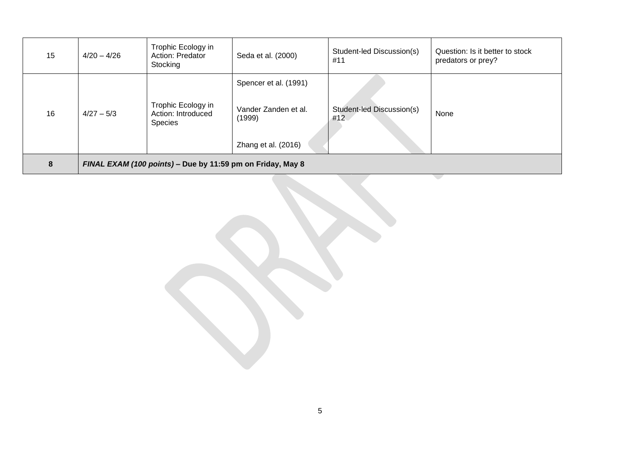| 15 | $4/20 - 4/26$                                              | Trophic Ecology in<br>Action: Predator<br>Stocking         | Seda et al. (2000)                                                             | Student-led Discussion(s)<br>#11 | Question: Is it better to stock<br>predators or prey? |  |
|----|------------------------------------------------------------|------------------------------------------------------------|--------------------------------------------------------------------------------|----------------------------------|-------------------------------------------------------|--|
| 16 | $4/27 - 5/3$                                               | Trophic Ecology in<br>Action: Introduced<br><b>Species</b> | Spencer et al. (1991)<br>Vander Zanden et al.<br>(1999)<br>Zhang et al. (2016) | Student-led Discussion(s)<br>#12 | None                                                  |  |
| 8  | FINAL EXAM (100 points) - Due by 11:59 pm on Friday, May 8 |                                                            |                                                                                |                                  |                                                       |  |